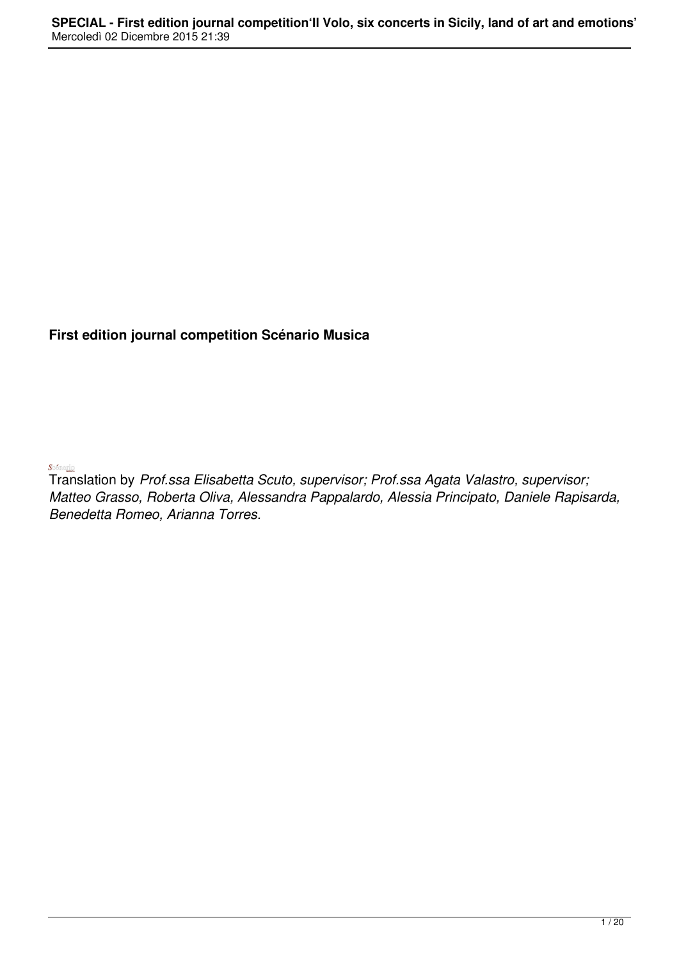## **First edition journal competition Scénario Musica**

 $S$  of maring  $\overline{\phantom{a}}$ 

Translation by *Prof.ssa Elisabetta Scuto, supervisor; Prof.ssa Agata Valastro, supervisor; Matteo Grasso, Roberta Oliva, Alessandra Pappalardo, Alessia Principato, Daniele Rapisarda, Benedetta Romeo, Arianna Torres.*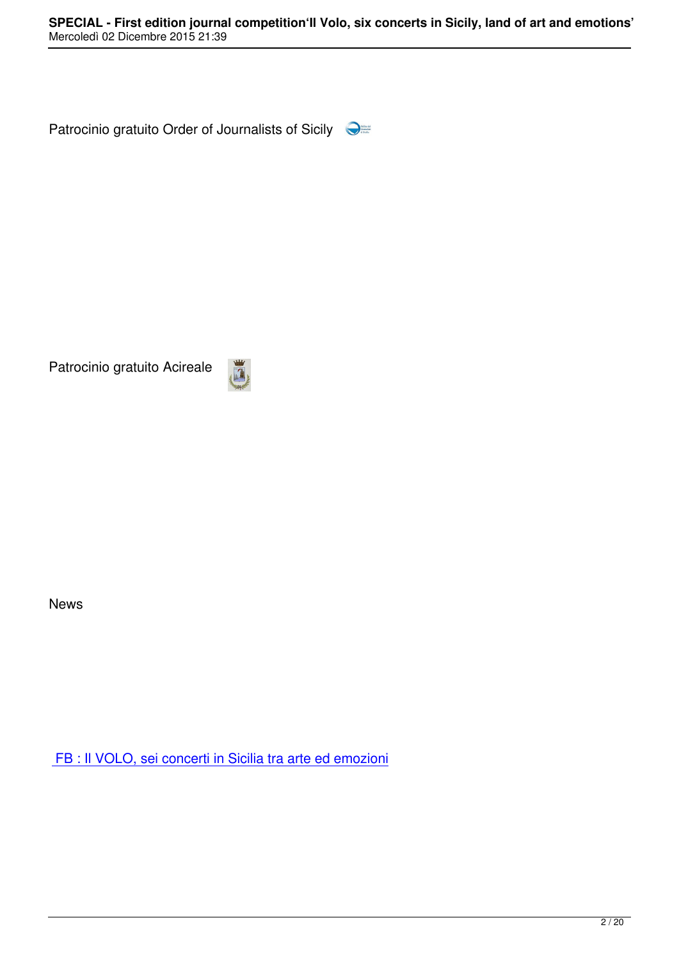Patrocinio gratuito Order of Journalists of Sicily

Patrocinio gratuito Acireale



News

FB : Il VOLO, sei concerti in Sicilia tra arte ed emozioni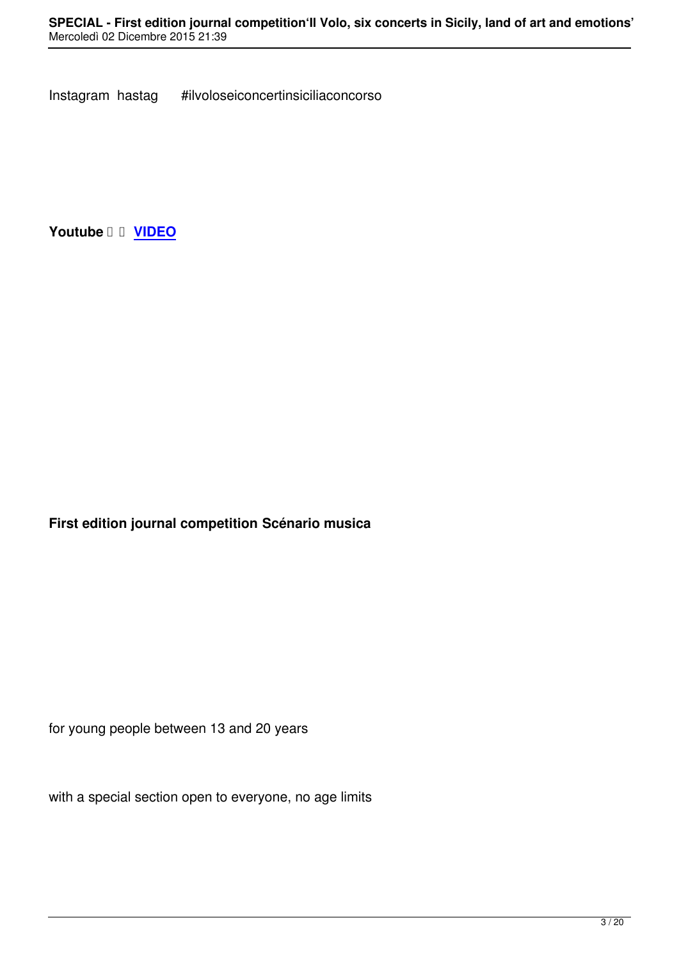**Youtube VIDEO**

**First edition journal competition Scénario musica** 

for young people between 13 and 20 years

with a special section open to everyone, no age limits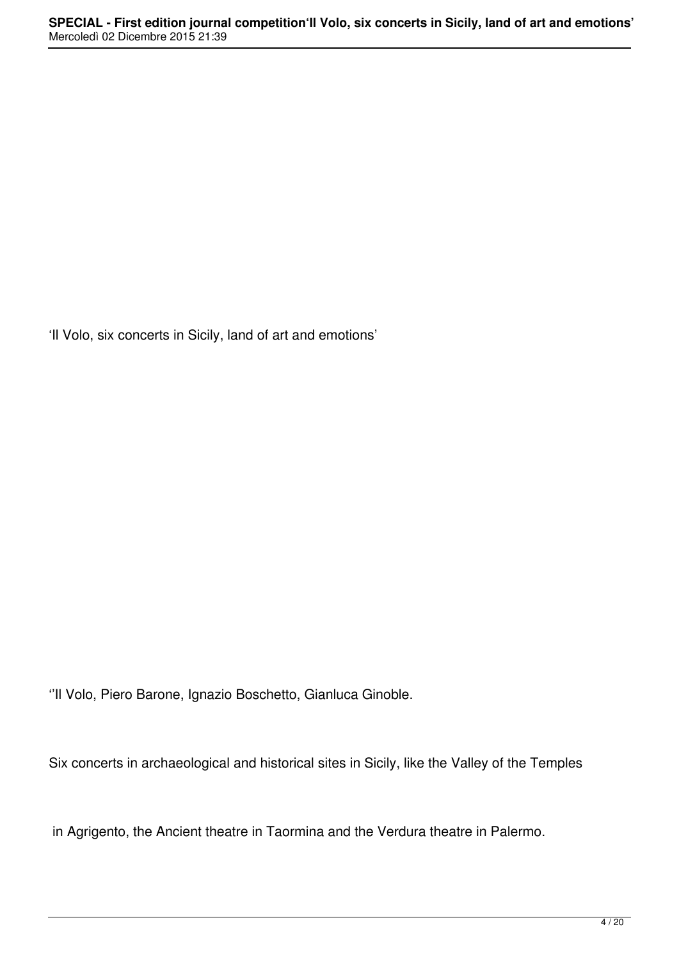'Il Volo, six concerts in Sicily, land of art and emotions'

''Il Volo, Piero Barone, Ignazio Boschetto, Gianluca Ginoble.

Six concerts in archaeological and historical sites in Sicily, like the Valley of the Temples

in Agrigento, the Ancient theatre in Taormina and the Verdura theatre in Palermo.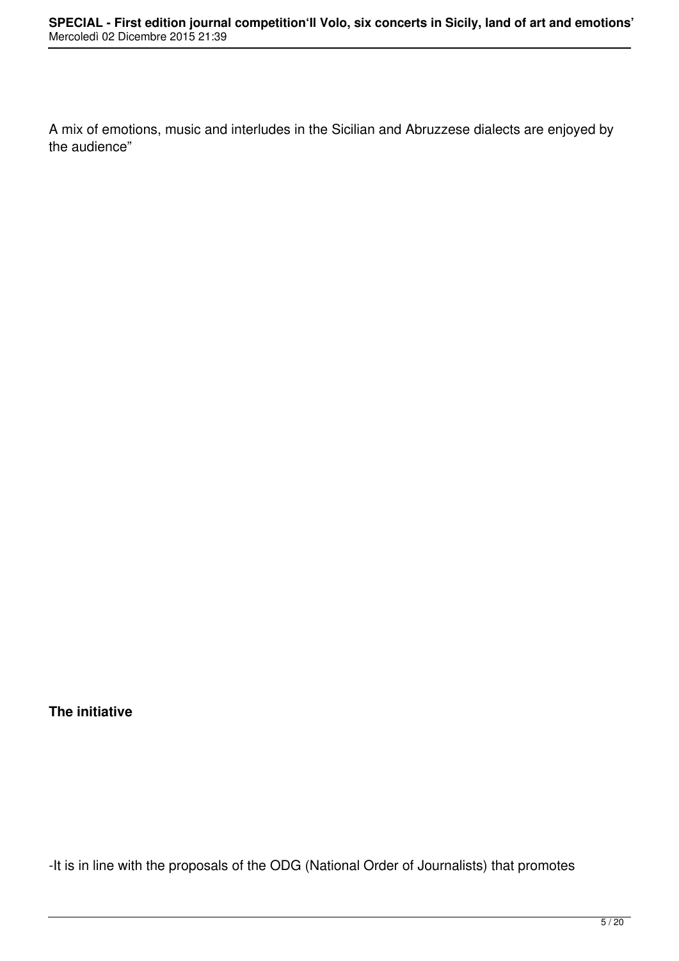A mix of emotions, music and interludes in the Sicilian and Abruzzese dialects are enjoyed by the audience"

## **The initiative**

-It is in line with the proposals of the ODG (National Order of Journalists) that promotes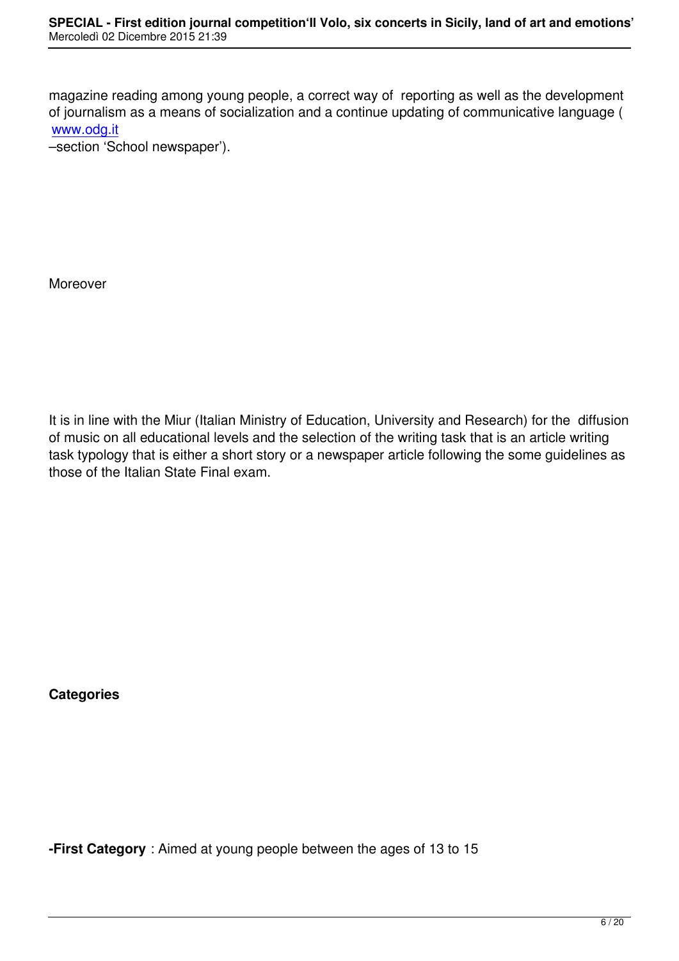magazine reading among young people, a correct way of reporting as well as the development of journalism as a means of socialization and a continue updating of communicative language ( www.odg.it

–section 'School newspaper').

Moreover

It is in line with the Miur (Italian Ministry of Education, University and Research) for the diffusion of music on all educational levels and the selection of the writing task that is an article writing task typology that is either a short story or a newspaper article following the some guidelines as those of the Italian State Final exam.

**Categories**

**-First Category** : Aimed at young people between the ages of 13 to 15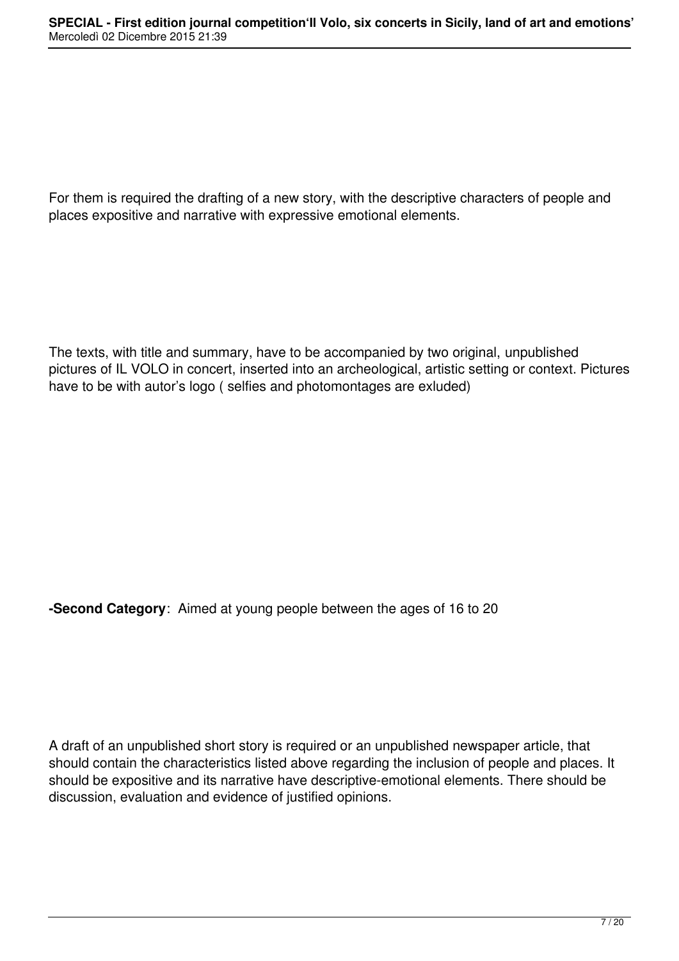For them is required the drafting of a new story, with the descriptive characters of people and places expositive and narrative with expressive emotional elements.

The texts, with title and summary, have to be accompanied by two original, unpublished pictures of IL VOLO in concert, inserted into an archeological, artistic setting or context. Pictures have to be with autor's logo ( selfies and photomontages are exluded)

**-Second Category**: Aimed at young people between the ages of 16 to 20

A draft of an unpublished short story is required or an unpublished newspaper article, that should contain the characteristics listed above regarding the inclusion of people and places. It should be expositive and its narrative have descriptive-emotional elements. There should be discussion, evaluation and evidence of justified opinions.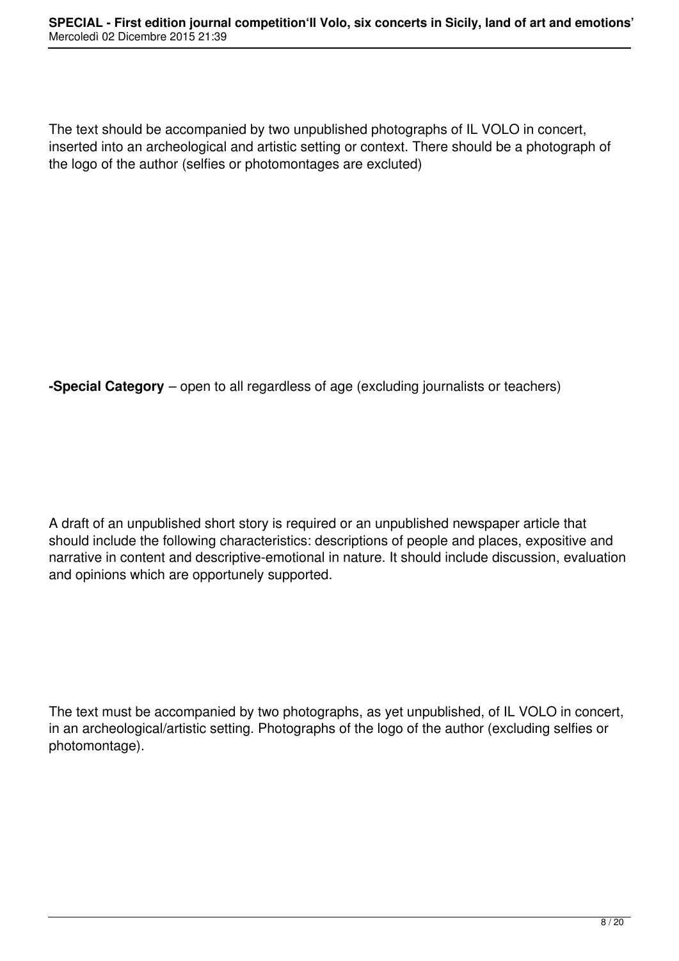The text should be accompanied by two unpublished photographs of IL VOLO in concert, inserted into an archeological and artistic setting or context. There should be a photograph of the logo of the author (selfies or photomontages are excluted)

**-Special Category** – open to all regardless of age (excluding journalists or teachers)

A draft of an unpublished short story is required or an unpublished newspaper article that should include the following characteristics: descriptions of people and places, expositive and narrative in content and descriptive-emotional in nature. It should include discussion, evaluation and opinions which are opportunely supported.

The text must be accompanied by two photographs, as yet unpublished, of IL VOLO in concert, in an archeological/artistic setting. Photographs of the logo of the author (excluding selfies or photomontage).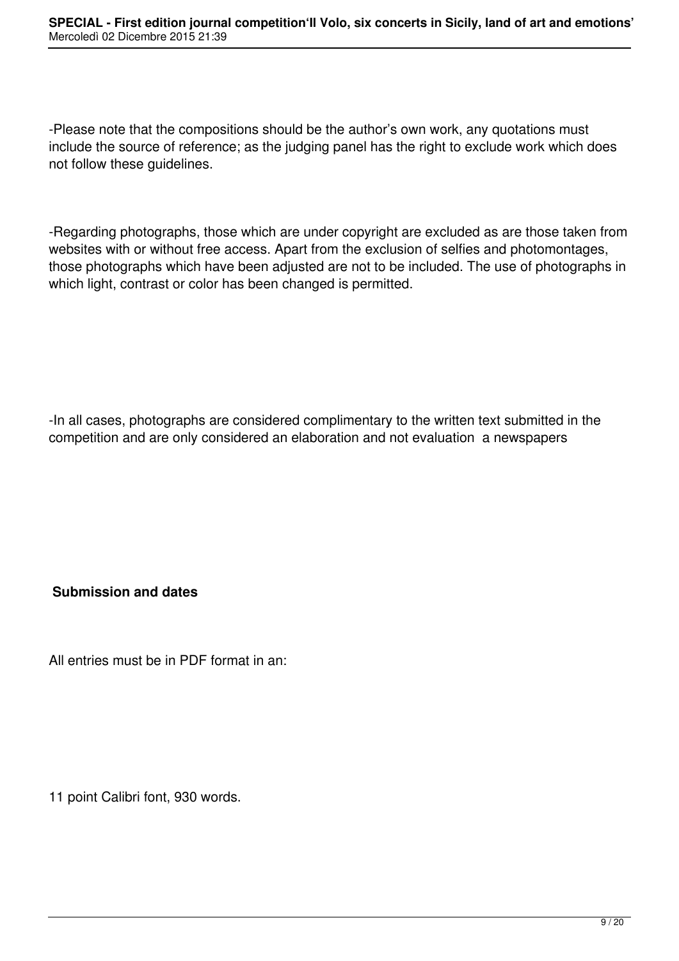-Please note that the compositions should be the author's own work, any quotations must include the source of reference; as the judging panel has the right to exclude work which does not follow these guidelines.

-Regarding photographs, those which are under copyright are excluded as are those taken from websites with or without free access. Apart from the exclusion of selfies and photomontages, those photographs which have been adjusted are not to be included. The use of photographs in which light, contrast or color has been changed is permitted.

-In all cases, photographs are considered complimentary to the written text submitted in the competition and are only considered an elaboration and not evaluation a newspapers

# **Submission and dates**

All entries must be in PDF format in an:

11 point Calibri font, 930 words.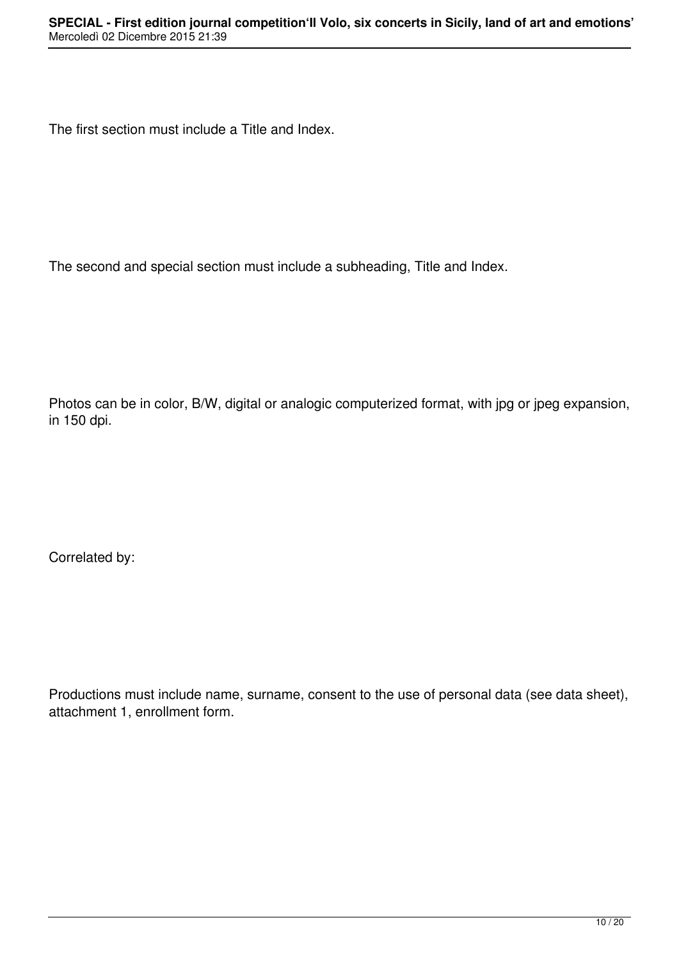The first section must include a Title and Index.

The second and special section must include a subheading, Title and Index.

Photos can be in color, B/W, digital or analogic computerized format, with jpg or jpeg expansion, in 150 dpi.

Correlated by:

Productions must include name, surname, consent to the use of personal data (see data sheet), attachment 1, enrollment form.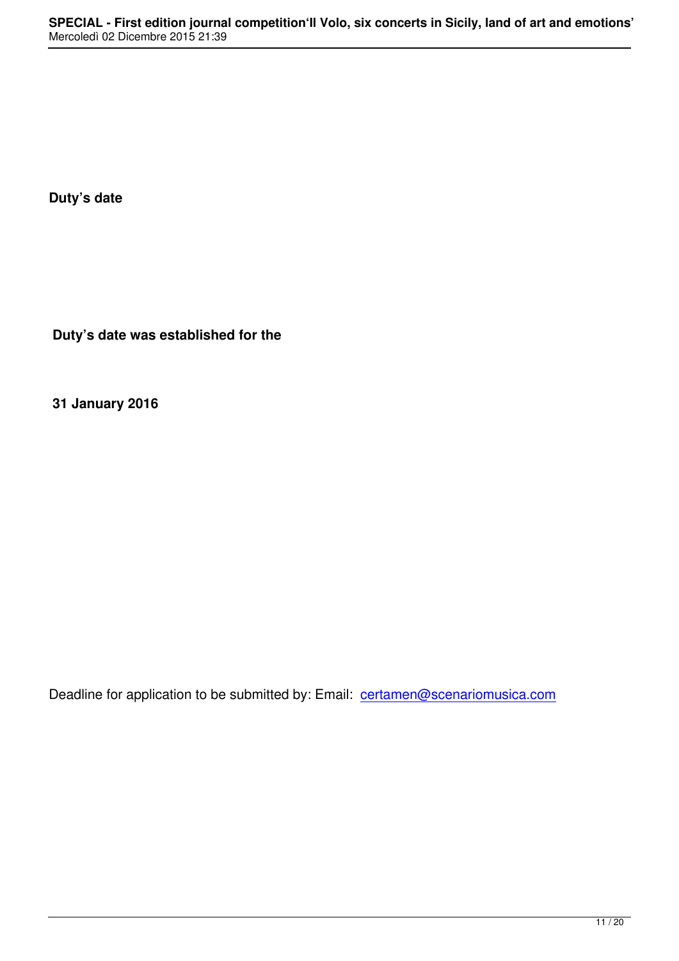**Duty's date**

 **Duty's date was established for the** 

**31 January 2016**

Deadline for application to be submitted by: Email: certamen@scenariomusica.com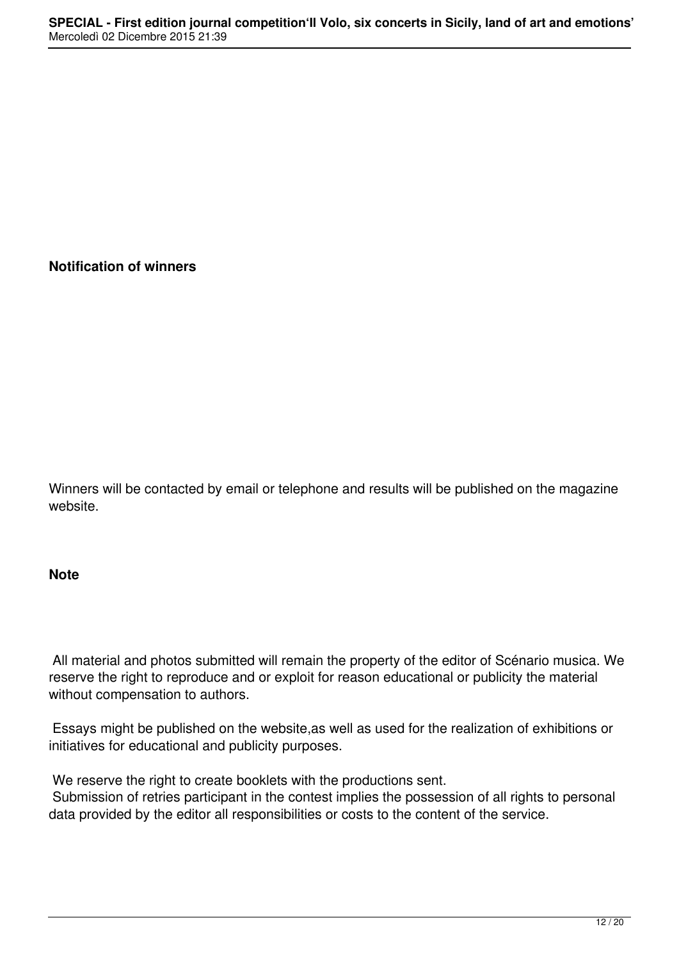### **Notification of winners**

Winners will be contacted by email or telephone and results will be published on the magazine website.

### **Note**

All material and photos submitted will remain the property of the editor of Scénario musica. We reserve the right to reproduce and or exploit for reason educational or publicity the material without compensation to authors.

 Essays might be published on the website,as well as used for the realization of exhibitions or initiatives for educational and publicity purposes.

We reserve the right to create booklets with the productions sent. Submission of retries participant in the contest implies the possession of all rights to personal data provided by the editor all responsibilities or costs to the content of the service.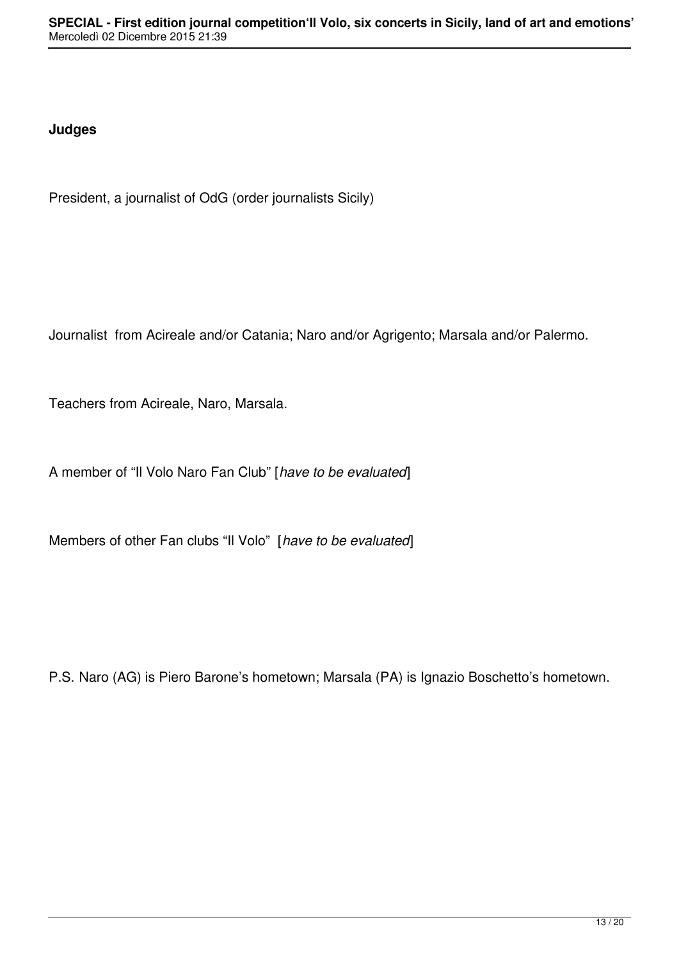## **Judges**

President, a journalist of OdG (order journalists Sicily)

Journalist from Acireale and/or Catania; Naro and/or Agrigento; Marsala and/or Palermo.

Teachers from Acireale, Naro, Marsala.

A member of "Il Volo Naro Fan Club" [*have to be evaluated*]

Members of other Fan clubs "Il Volo" [*have to be evaluated*]

P.S. Naro (AG) is Piero Barone's hometown; Marsala (PA) is Ignazio Boschetto's hometown.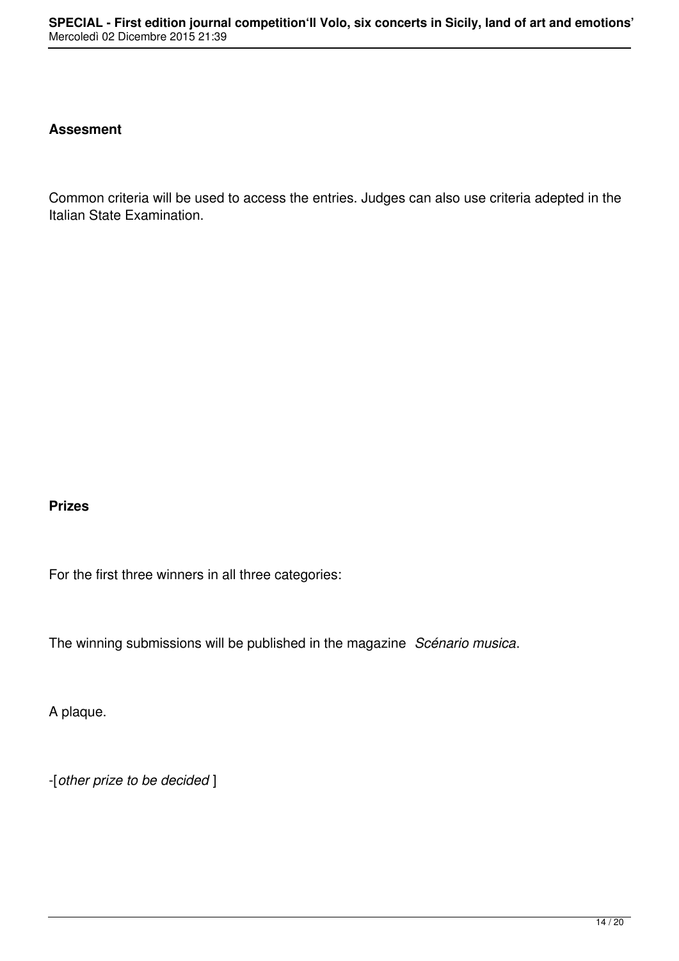#### **Assesment**

Common criteria will be used to access the entries. Judges can also use criteria adepted in the Italian State Examination.

#### **Prizes**

For the first three winners in all three categories:

The winning submissions will be published in the magazine *Scénario musica*.

A plaque.

-[*other prize to be decided* ]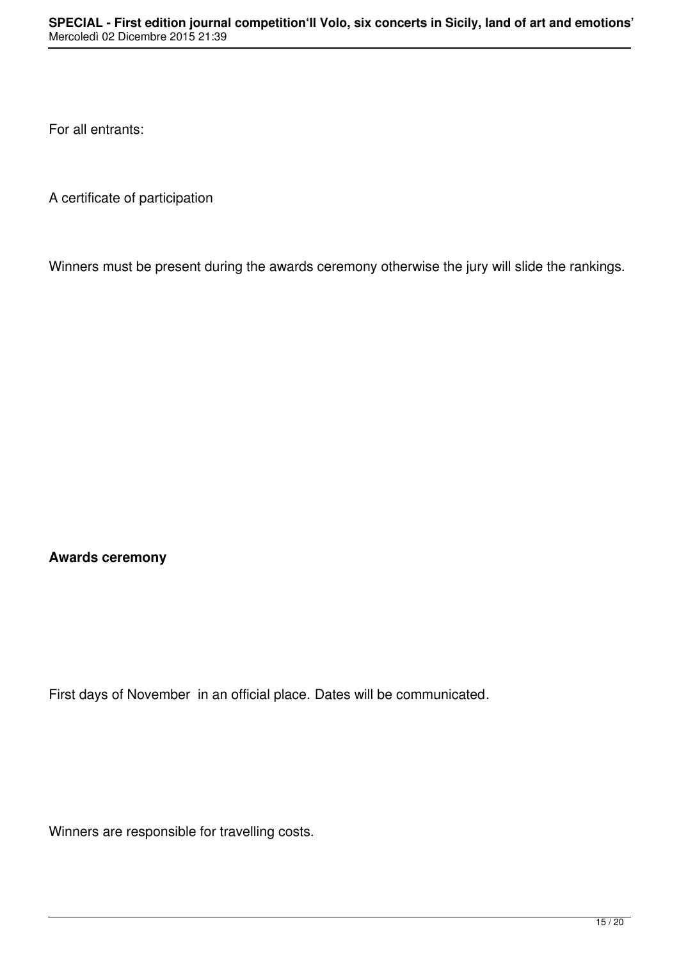For all entrants:

A certificate of participation

Winners must be present during the awards ceremony otherwise the jury will slide the rankings.

**Awards ceremony**

First days of November in an official place. Dates will be communicated.

Winners are responsible for travelling costs.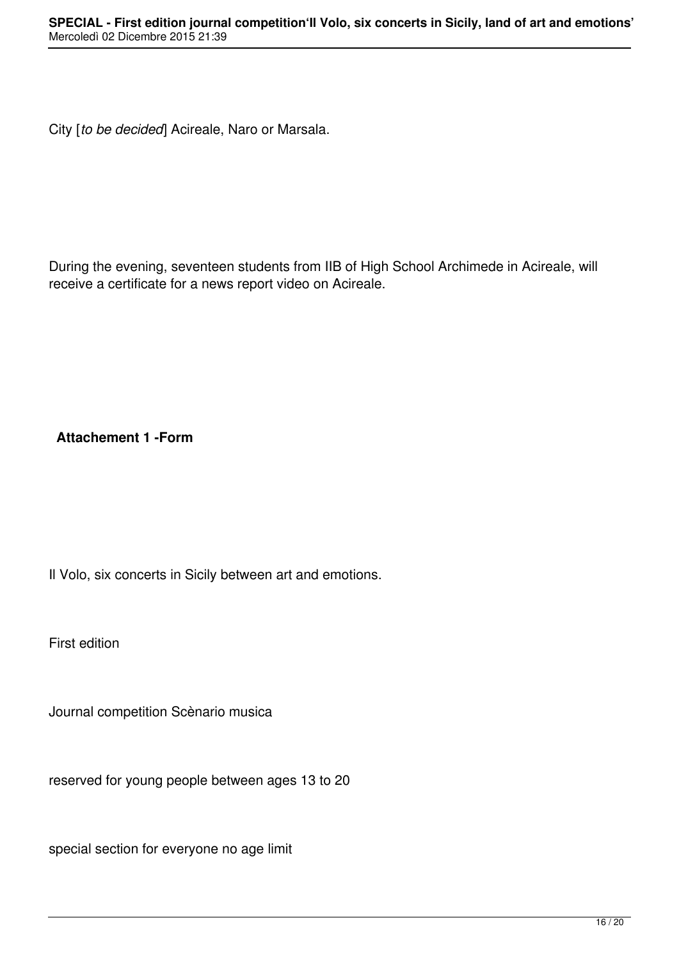City [*to be decided*] Acireale, Naro or Marsala.

During the evening, seventeen students from IIB of High School Archimede in Acireale, will receive a certificate for a news report video on Acireale.

**Attachement 1 -Form**

Il Volo, six concerts in Sicily between art and emotions.

First edition

Journal competition Scènario musica

reserved for young people between ages 13 to 20

special section for everyone no age limit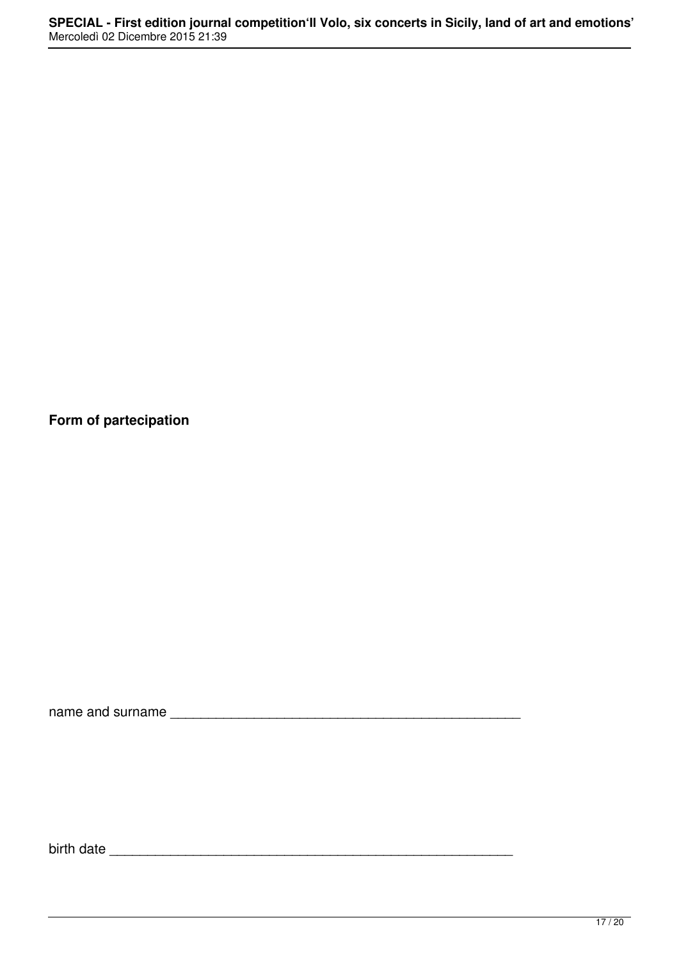**Form of partecipation**

name and surname \_\_\_\_\_\_\_\_\_\_\_\_\_\_\_\_\_\_\_\_\_\_\_\_\_\_\_\_\_\_\_\_\_\_\_\_\_\_\_\_\_\_\_\_\_\_

birth date \_\_\_\_\_\_\_\_\_\_\_\_\_\_\_\_\_\_\_\_\_\_\_\_\_\_\_\_\_\_\_\_\_\_\_\_\_\_\_\_\_\_\_\_\_\_\_\_\_\_\_\_\_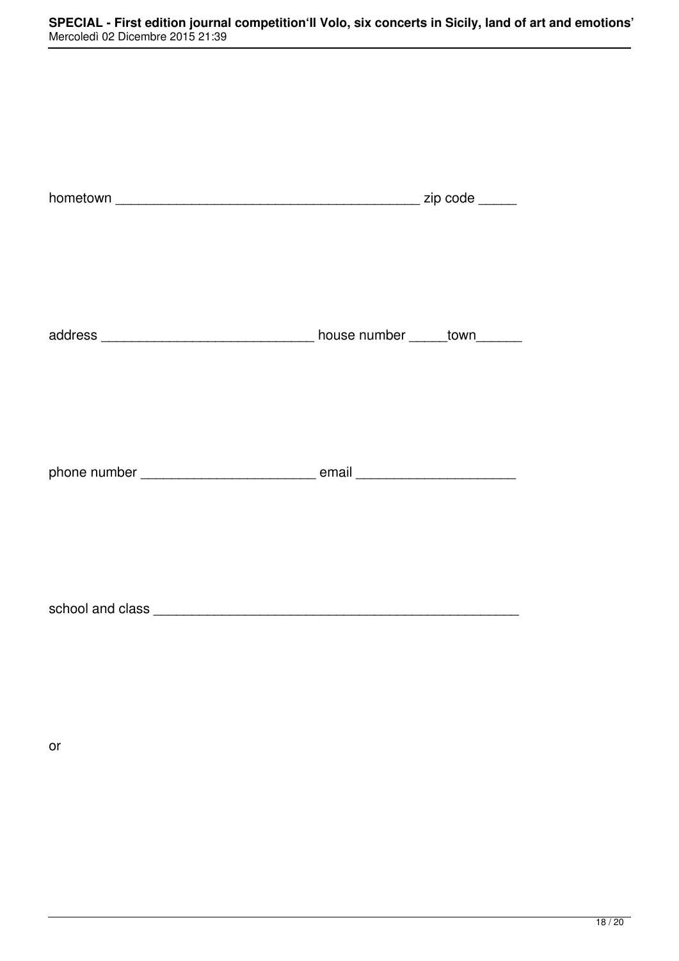or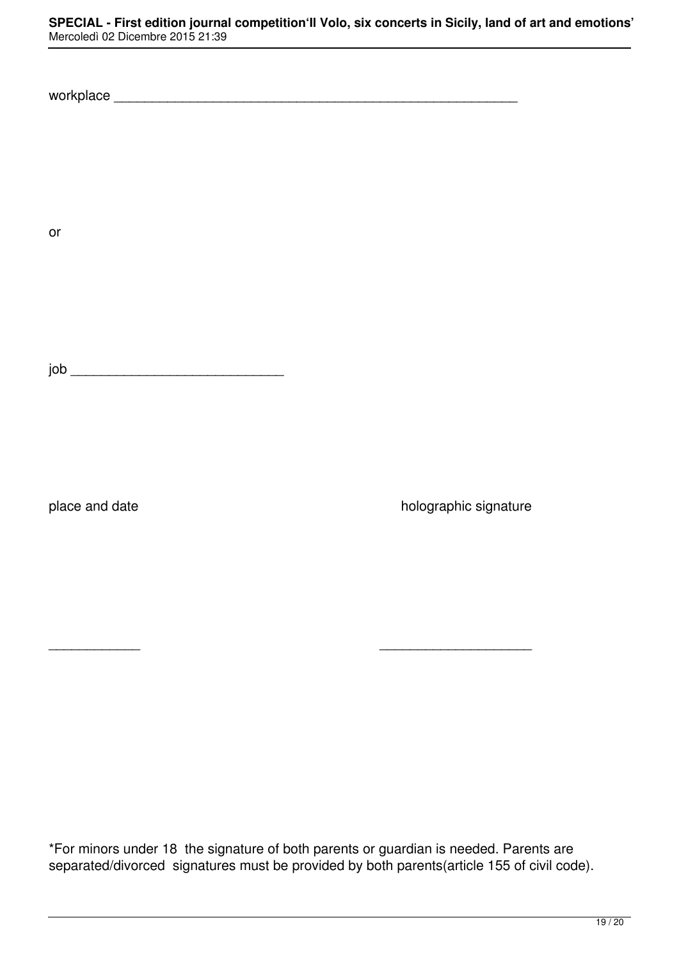workplace works are all the set of the set of the set of the set of the set of the set of the set of the set of the set of the set of the set of the set of the set of the set of the set of the set of the set of the set of

or

job \_\_\_\_\_\_\_\_\_\_\_\_\_\_\_\_\_\_\_\_\_\_\_\_\_\_\_\_

place and date **black in the state in the state holographic signature** 

\*For minors under 18 the signature of both parents or guardian is needed. Parents are separated/divorced signatures must be provided by both parents(article 155 of civil code).

\_\_\_\_\_\_\_\_\_\_\_\_ \_\_\_\_\_\_\_\_\_\_\_\_\_\_\_\_\_\_\_\_